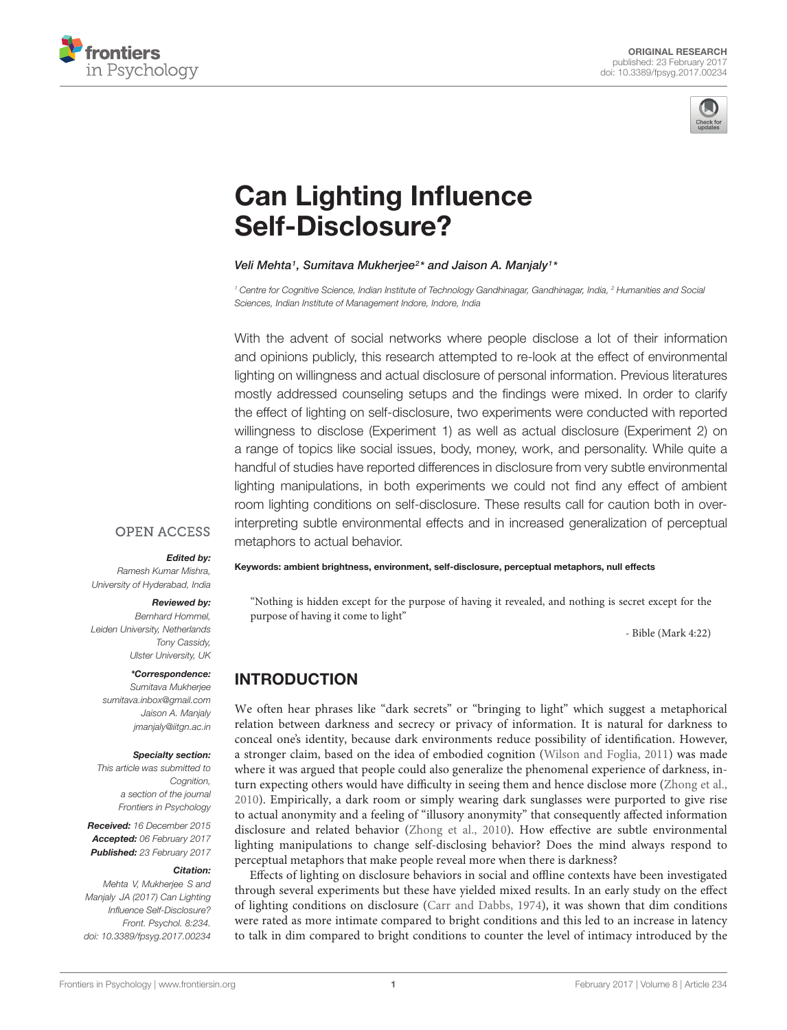



# [Can Lighting Influence](http://journal.frontiersin.org/article/10.3389/fpsyg.2017.00234/abstract) Self-Disclosure?

## [Veli Mehta](http://loop.frontiersin.org/people/345953/overview)1, [Sumitava Mukherjee](http://loop.frontiersin.org/people/55094/overview)<sup>2\*</sup> and [Jaison A. Manjaly](http://loop.frontiersin.org/people/118539/overview)1\*

<sup>1</sup> Centre for Cognitive Science, Indian Institute of Technology Gandhinagar, Gandhinagar, India, <sup>2</sup> Humanities and Social Sciences, Indian Institute of Management Indore, Indore, India

With the advent of social networks where people disclose a lot of their information and opinions publicly, this research attempted to re-look at the effect of environmental lighting on willingness and actual disclosure of personal information. Previous literatures mostly addressed counseling setups and the findings were mixed. In order to clarify the effect of lighting on self-disclosure, two experiments were conducted with reported willingness to disclose (Experiment 1) as well as actual disclosure (Experiment 2) on a range of topics like social issues, body, money, work, and personality. While quite a handful of studies have reported differences in disclosure from very subtle environmental lighting manipulations, in both experiments we could not find any effect of ambient room lighting conditions on self-disclosure. These results call for caution both in overinterpreting subtle environmental effects and in increased generalization of perceptual metaphors to actual behavior.

## **OPEN ACCESS**

## Edited by:

Ramesh Kumar Mishra, University of Hyderabad, India

## Reviewed by:

Bernhard Hommel, Leiden University, Netherlands Tony Cassidy, Ulster University, UK

#### \*Correspondence:

Sumitava Mukherjee sumitava.inbox@gmail.com Jaison A. Manjaly jmanjaly@iitgn.ac.in

## Specialty section:

This article was submitted to Cognition, a section of the journal Frontiers in Psychology

Received: 16 December 2015 Accepted: 06 February 2017 Published: 23 February 2017

#### Citation:

Mehta V, Mukherjee S and Manjaly JA (2017) Can Lighting Influence Self-Disclosure? Front. Psychol. 8:234. doi: [10.3389/fpsyg.2017.00234](https://doi.org/10.3389/fpsyg.2017.00234)

Keywords: ambient brightness, environment, self-disclosure, perceptual metaphors, null effects

"Nothing is hidden except for the purpose of having it revealed, and nothing is secret except for the purpose of having it come to light"

- Bible (Mark 4:22)

# INTRODUCTION

We often hear phrases like "dark secrets" or "bringing to light" which suggest a metaphorical relation between darkness and secrecy or privacy of information. It is natural for darkness to conceal one's identity, because dark environments reduce possibility of identification. However, a stronger claim, based on the idea of embodied cognition [\(Wilson and Foglia,](#page-5-0) [2011\)](#page-5-0) was made where it was argued that people could also generalize the phenomenal experience of darkness, inturn expecting others would have difficulty in seeing them and hence disclose more [\(Zhong et al.,](#page-5-1) [2010\)](#page-5-1). Empirically, a dark room or simply wearing dark sunglasses were purported to give rise to actual anonymity and a feeling of "illusory anonymity" that consequently affected information disclosure and related behavior [\(Zhong et al.,](#page-5-1) [2010\)](#page-5-1). How effective are subtle environmental lighting manipulations to change self-disclosing behavior? Does the mind always respond to perceptual metaphors that make people reveal more when there is darkness?

Effects of lighting on disclosure behaviors in social and offline contexts have been investigated through several experiments but these have yielded mixed results. In an early study on the effect of lighting conditions on disclosure [\(Carr and Dabbs,](#page-5-2) [1974\)](#page-5-2), it was shown that dim conditions were rated as more intimate compared to bright conditions and this led to an increase in latency to talk in dim compared to bright conditions to counter the level of intimacy introduced by the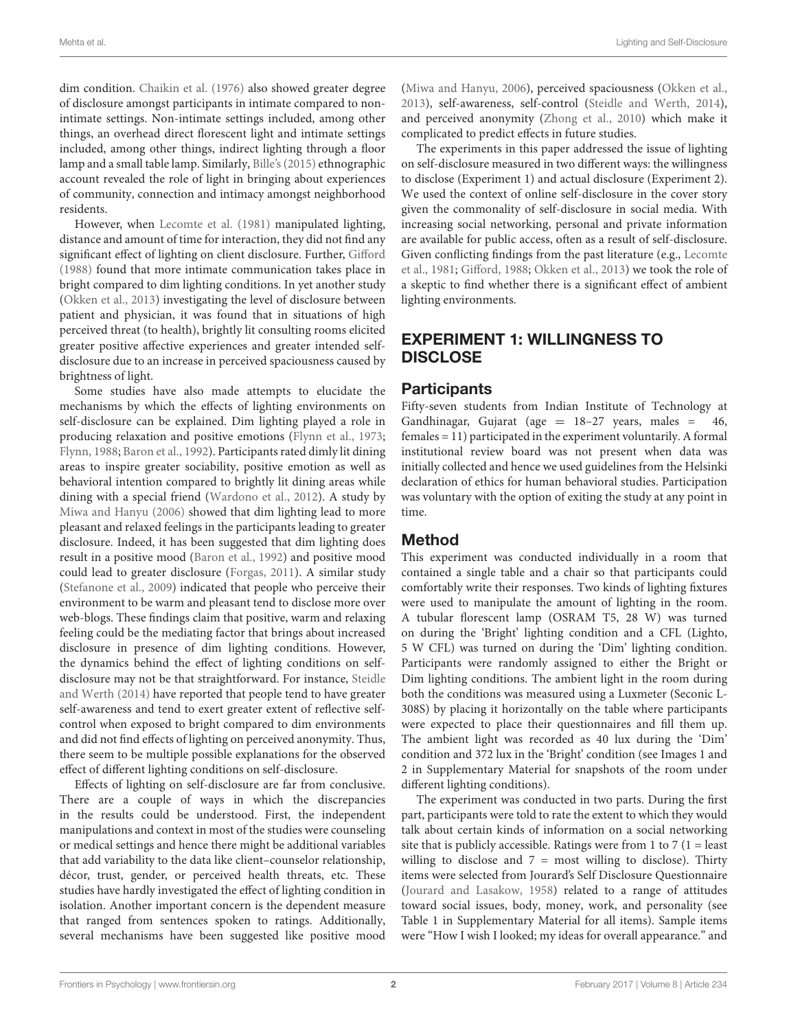dim condition. [Chaikin et al.](#page-5-3) [\(1976\)](#page-5-3) also showed greater degree of disclosure amongst participants in intimate compared to nonintimate settings. Non-intimate settings included, among other things, an overhead direct florescent light and intimate settings included, among other things, indirect lighting through a floor lamp and a small table lamp. Similarly, [Bille'](#page-5-4)s [\(2015\)](#page-5-4) ethnographic account revealed the role of light in bringing about experiences of community, connection and intimacy amongst neighborhood residents.

However, when [Lecomte et al.](#page-5-5) [\(1981\)](#page-5-5) manipulated lighting, distance and amount of time for interaction, they did not find any significant effect of lighting on client disclosure. Further, [Gifford](#page-5-6) [\(1988\)](#page-5-6) found that more intimate communication takes place in bright compared to dim lighting conditions. In yet another study [\(Okken et al.,](#page-5-7) [2013\)](#page-5-7) investigating the level of disclosure between patient and physician, it was found that in situations of high perceived threat (to health), brightly lit consulting rooms elicited greater positive affective experiences and greater intended selfdisclosure due to an increase in perceived spaciousness caused by brightness of light.

Some studies have also made attempts to elucidate the mechanisms by which the effects of lighting environments on self-disclosure can be explained. Dim lighting played a role in producing relaxation and positive emotions [\(Flynn et al.,](#page-5-8) [1973;](#page-5-8) [Flynn,](#page-5-9) [1988;](#page-5-9) [Baron et al.,](#page-5-10) [1992\)](#page-5-10). Participants rated dimly lit dining areas to inspire greater sociability, positive emotion as well as behavioral intention compared to brightly lit dining areas while dining with a special friend [\(Wardono et al.,](#page-5-11) [2012\)](#page-5-11). A study by [Miwa and Hanyu](#page-5-12) [\(2006\)](#page-5-12) showed that dim lighting lead to more pleasant and relaxed feelings in the participants leading to greater disclosure. Indeed, it has been suggested that dim lighting does result in a positive mood [\(Baron et al.,](#page-5-10) [1992\)](#page-5-10) and positive mood could lead to greater disclosure [\(Forgas,](#page-5-13) [2011\)](#page-5-13). A similar study [\(Stefanone et al.,](#page-5-14) [2009\)](#page-5-14) indicated that people who perceive their environment to be warm and pleasant tend to disclose more over web-blogs. These findings claim that positive, warm and relaxing feeling could be the mediating factor that brings about increased disclosure in presence of dim lighting conditions. However, the dynamics behind the effect of lighting conditions on selfdisclosure may not be that straightforward. For instance, [Steidle](#page-5-15) [and Werth](#page-5-15) [\(2014\)](#page-5-15) have reported that people tend to have greater self-awareness and tend to exert greater extent of reflective selfcontrol when exposed to bright compared to dim environments and did not find effects of lighting on perceived anonymity. Thus, there seem to be multiple possible explanations for the observed effect of different lighting conditions on self-disclosure.

Effects of lighting on self-disclosure are far from conclusive. There are a couple of ways in which the discrepancies in the results could be understood. First, the independent manipulations and context in most of the studies were counseling or medical settings and hence there might be additional variables that add variability to the data like client–counselor relationship, décor, trust, gender, or perceived health threats, etc. These studies have hardly investigated the effect of lighting condition in isolation. Another important concern is the dependent measure that ranged from sentences spoken to ratings. Additionally, several mechanisms have been suggested like positive mood

[\(Miwa and Hanyu,](#page-5-12) [2006\)](#page-5-12), perceived spaciousness [\(Okken et al.,](#page-5-7) [2013\)](#page-5-7), self-awareness, self-control [\(Steidle and Werth,](#page-5-15) [2014\)](#page-5-15), and perceived anonymity [\(Zhong et al.,](#page-5-1) [2010\)](#page-5-1) which make it complicated to predict effects in future studies.

The experiments in this paper addressed the issue of lighting on self-disclosure measured in two different ways: the willingness to disclose (Experiment 1) and actual disclosure (Experiment 2). We used the context of online self-disclosure in the cover story given the commonality of self-disclosure in social media. With increasing social networking, personal and private information are available for public access, often as a result of self-disclosure. Given conflicting findings from the past literature (e.g., [Lecomte](#page-5-5) [et al.,](#page-5-5) [1981;](#page-5-5) [Gifford,](#page-5-6) [1988;](#page-5-6) [Okken et al.,](#page-5-7) [2013\)](#page-5-7) we took the role of a skeptic to find whether there is a significant effect of ambient lighting environments.

# EXPERIMENT 1: WILLINGNESS TO **DISCLOSE**

## **Participants**

Fifty-seven students from Indian Institute of Technology at Gandhinagar, Gujarat (age  $= 18-27$  years, males  $= 46$ , females = 11) participated in the experiment voluntarily. A formal institutional review board was not present when data was initially collected and hence we used guidelines from the Helsinki declaration of ethics for human behavioral studies. Participation was voluntary with the option of exiting the study at any point in time.

## Method

This experiment was conducted individually in a room that contained a single table and a chair so that participants could comfortably write their responses. Two kinds of lighting fixtures were used to manipulate the amount of lighting in the room. A tubular florescent lamp (OSRAM T5, 28 W) was turned on during the 'Bright' lighting condition and a CFL (Lighto, 5 W CFL) was turned on during the 'Dim' lighting condition. Participants were randomly assigned to either the Bright or Dim lighting conditions. The ambient light in the room during both the conditions was measured using a Luxmeter (Seconic L-308S) by placing it horizontally on the table where participants were expected to place their questionnaires and fill them up. The ambient light was recorded as 40 lux during the 'Dim' condition and 372 lux in the 'Bright' condition (see Images 1 and 2 in Supplementary Material for snapshots of the room under different lighting conditions).

The experiment was conducted in two parts. During the first part, participants were told to rate the extent to which they would talk about certain kinds of information on a social networking site that is publicly accessible. Ratings were from 1 to 7 ( $1 =$  least willing to disclose and  $7 =$  most willing to disclose). Thirty items were selected from Jourard's Self Disclosure Questionnaire [\(Jourard and Lasakow,](#page-5-16) [1958\)](#page-5-16) related to a range of attitudes toward social issues, body, money, work, and personality (see Table 1 in Supplementary Material for all items). Sample items were "How I wish I looked; my ideas for overall appearance." and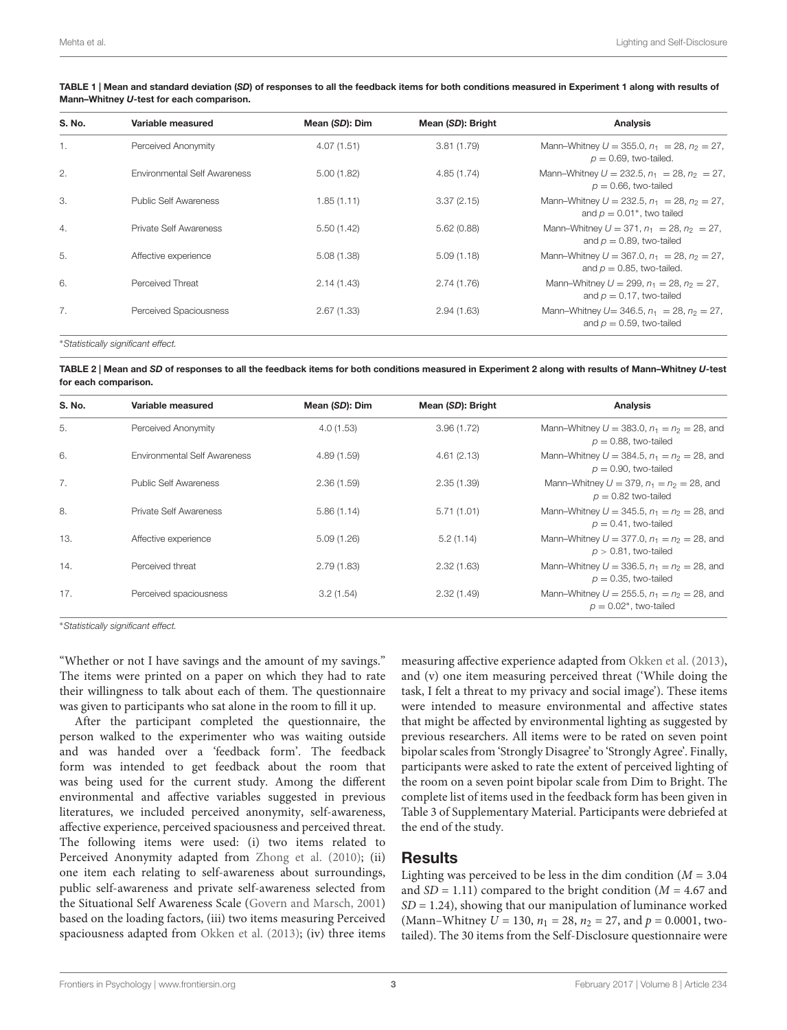| S. No.           | Variable measured             | Mean (SD): Dim | Mean (SD): Bright | <b>Analysis</b>                                                                                  |
|------------------|-------------------------------|----------------|-------------------|--------------------------------------------------------------------------------------------------|
| $\mathbf{1}$ .   | Perceived Anonymity           | 4.07(1.51)     | 3.81(1.79)        | Mann-Whitney $U = 355.0$ , $n_1 = 28$ , $n_2 = 27$ ,<br>$p = 0.69$ , two-tailed.                 |
| 2.               | Environmental Self Awareness  | 5.00(1.82)     | 4.85(1.74)        | Mann-Whitney $U = 232.5$ , $n_1 = 28$ , $n_2 = 27$ ,<br>$p = 0.66$ , two-tailed                  |
| 3.               | Public Self Awareness         | 1.85(1.11)     | 3.37(2.15)        | Mann-Whitney $U = 232.5$ , $n_1 = 28$ , $n_2 = 27$ ,<br>and $p = 0.01$ <sup>*</sup> , two tailed |
| $\overline{4}$ . | <b>Private Self Awareness</b> | 5.50(1.42)     | 5.62(0.88)        | Mann-Whitney $U = 371$ , $n_1 = 28$ , $n_2 = 27$ ,<br>and $p = 0.89$ , two-tailed                |
| 5.               | Affective experience          | 5.08(1.38)     | 5.09(1.18)        | Mann-Whitney $U = 367.0$ , $n_1 = 28$ , $n_2 = 27$ ,<br>and $p = 0.85$ , two-tailed.             |
| 6.               | Perceived Threat              | 2.14(1.43)     | 2.74 (1.76)       | Mann-Whitney $U = 299$ , $n_1 = 28$ , $n_2 = 27$ ,<br>and $p = 0.17$ , two-tailed                |
| 7.               | Perceived Spaciousness        | 2.67(1.33)     | 2.94(1.63)        | Mann-Whitney $U = 346.5$ , $n_1 = 28$ , $n_2 = 27$ ,<br>and $p = 0.59$ , two-tailed              |

<span id="page-2-0"></span>TABLE 1 | Mean and standard deviation (SD) of responses to all the feedback items for both conditions measured in Experiment 1 along with results of Mann–Whitney U-test for each comparison.

<sup>∗</sup>Statistically significant effect.

<span id="page-2-1"></span>TABLE 2 | Mean and SD of responses to all the feedback items for both conditions measured in Experiment 2 along with results of Mann–Whitney U-test for each comparison.

| S. No. | Variable measured             | Mean (SD): Dim | Mean (SD): Bright | <b>Analysis</b>                                                               |
|--------|-------------------------------|----------------|-------------------|-------------------------------------------------------------------------------|
| 5.     | Perceived Anonymity           | 4.0(1.53)      | 3.96(1.72)        | Mann-Whitney $U = 383.0$ , $n_1 = n_2 = 28$ , and<br>$p = 0.88$ , two-tailed  |
| 6.     | Environmental Self Awareness  | 4.89(1.59)     | 4.61(2.13)        | Mann-Whitney $U = 384.5$ , $n_1 = n_2 = 28$ , and<br>$p = 0.90$ , two-tailed  |
| 7.     | <b>Public Self Awareness</b>  | 2.36(1.59)     | 2.35(1.39)        | Mann-Whitney $U = 379$ , $n_1 = n_2 = 28$ , and<br>$p = 0.82$ two-tailed      |
| 8.     | <b>Private Self Awareness</b> | 5.86(1.14)     | 5.71(1.01)        | Mann-Whitney $U = 345.5$ , $n_1 = n_2 = 28$ , and<br>$p = 0.41$ , two-tailed  |
| 13.    | Affective experience          | 5.09(1.26)     | 5.2(1.14)         | Mann-Whitney $U = 377.0$ , $n_1 = n_2 = 28$ , and<br>$p > 0.81$ , two-tailed  |
| 14.    | Perceived threat              | 2.79(1.83)     | 2.32(1.63)        | Mann-Whitney $U = 336.5$ , $n_1 = n_2 = 28$ , and<br>$p = 0.35$ , two-tailed  |
| 17.    | Perceived spaciousness        | 3.2(1.54)      | 2.32(1.49)        | Mann-Whitney $U = 255.5$ , $n_1 = n_2 = 28$ , and<br>$p = 0.02$ *, two-tailed |

<sup>∗</sup>Statistically significant effect.

"Whether or not I have savings and the amount of my savings." The items were printed on a paper on which they had to rate their willingness to talk about each of them. The questionnaire was given to participants who sat alone in the room to fill it up.

After the participant completed the questionnaire, the person walked to the experimenter who was waiting outside and was handed over a 'feedback form'. The feedback form was intended to get feedback about the room that was being used for the current study. Among the different environmental and affective variables suggested in previous literatures, we included perceived anonymity, self-awareness, affective experience, perceived spaciousness and perceived threat. The following items were used: (i) two items related to Perceived Anonymity adapted from [Zhong et al.](#page-5-1) [\(2010\)](#page-5-1); (ii) one item each relating to self-awareness about surroundings, public self-awareness and private self-awareness selected from the Situational Self Awareness Scale [\(Govern and Marsch,](#page-5-17) [2001\)](#page-5-17) based on the loading factors, (iii) two items measuring Perceived spaciousness adapted from [Okken et al.](#page-5-7) [\(2013\)](#page-5-7); (iv) three items

measuring affective experience adapted from [Okken et al.](#page-5-7) [\(2013\)](#page-5-7), and (v) one item measuring perceived threat ('While doing the task, I felt a threat to my privacy and social image'). These items were intended to measure environmental and affective states that might be affected by environmental lighting as suggested by previous researchers. All items were to be rated on seven point bipolar scales from 'Strongly Disagree' to 'Strongly Agree'. Finally, participants were asked to rate the extent of perceived lighting of the room on a seven point bipolar scale from Dim to Bright. The complete list of items used in the feedback form has been given in Table 3 of Supplementary Material. Participants were debriefed at the end of the study.

## **Results**

Lighting was perceived to be less in the dim condition ( $M = 3.04$ ) and  $SD = 1.11$ ) compared to the bright condition ( $M = 4.67$  and  $SD = 1.24$ ), showing that our manipulation of luminance worked (Mann–Whitney  $U = 130$ ,  $n_1 = 28$ ,  $n_2 = 27$ , and  $p = 0.0001$ , twotailed). The 30 items from the Self-Disclosure questionnaire were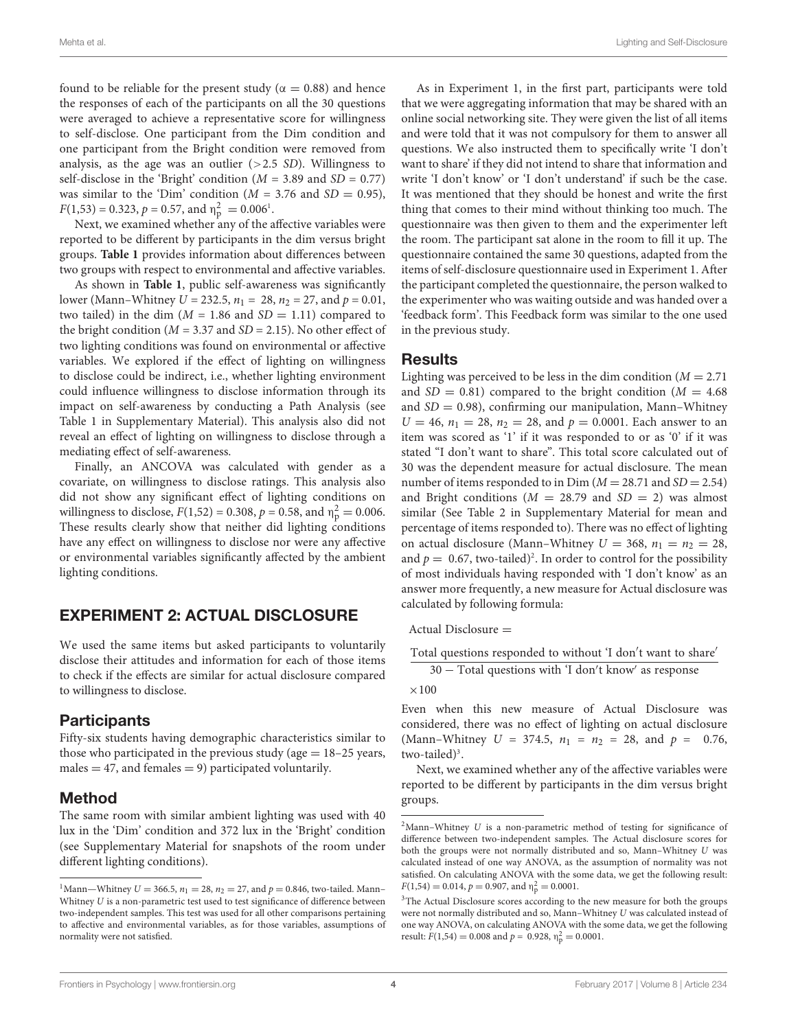found to be reliable for the present study ( $\alpha = 0.88$ ) and hence the responses of each of the participants on all the 30 questions were averaged to achieve a representative score for willingness to self-disclose. One participant from the Dim condition and one participant from the Bright condition were removed from analysis, as the age was an outlier  $(>2.5 S_D)$ . Willingness to self-disclose in the 'Bright' condition ( $M = 3.89$  and  $SD = 0.77$ ) was similar to the 'Dim' condition ( $M = 3.76$  and  $SD = 0.95$ ),  $F(1,53) = 0.323, p = 0.57, \text{ and } \eta_{\rm p}^2 = 0.006^1.$  $F(1,53) = 0.323, p = 0.57, \text{ and } \eta_{\rm p}^2 = 0.006^1.$  $F(1,53) = 0.323, p = 0.57, \text{ and } \eta_{\rm p}^2 = 0.006^1.$ 

Next, we examined whether any of the affective variables were reported to be different by participants in the dim versus bright groups. **[Table 1](#page-2-0)** provides information about differences between two groups with respect to environmental and affective variables.

As shown in **[Table 1](#page-2-0)**, public self-awareness was significantly lower (Mann–Whitney  $U = 232.5$ ,  $n_1 = 28$ ,  $n_2 = 27$ , and  $p = 0.01$ , two tailed) in the dim ( $M = 1.86$  and  $SD = 1.11$ ) compared to the bright condition ( $M = 3.37$  and  $SD = 2.15$ ). No other effect of two lighting conditions was found on environmental or affective variables. We explored if the effect of lighting on willingness to disclose could be indirect, i.e., whether lighting environment could influence willingness to disclose information through its impact on self-awareness by conducting a Path Analysis (see Table 1 in Supplementary Material). This analysis also did not reveal an effect of lighting on willingness to disclose through a mediating effect of self-awareness.

Finally, an ANCOVA was calculated with gender as a covariate, on willingness to disclose ratings. This analysis also did not show any significant effect of lighting conditions on willingness to disclose,  $F(1,52) = 0.308$ ,  $p = 0.58$ , and  $\eta_p^2 = 0.006$ . These results clearly show that neither did lighting conditions have any effect on willingness to disclose nor were any affective or environmental variables significantly affected by the ambient lighting conditions.

# EXPERIMENT 2: ACTUAL DISCLOSURE

We used the same items but asked participants to voluntarily disclose their attitudes and information for each of those items to check if the effects are similar for actual disclosure compared to willingness to disclose.

# **Participants**

Fifty-six students having demographic characteristics similar to those who participated in the previous study (age  $= 18-25$  years, males  $=$  47, and females  $=$  9) participated voluntarily.

# Method

The same room with similar ambient lighting was used with 40 lux in the 'Dim' condition and 372 lux in the 'Bright' condition (see Supplementary Material for snapshots of the room under different lighting conditions).

As in Experiment 1, in the first part, participants were told that we were aggregating information that may be shared with an online social networking site. They were given the list of all items and were told that it was not compulsory for them to answer all questions. We also instructed them to specifically write 'I don't want to share' if they did not intend to share that information and write 'I don't know' or 'I don't understand' if such be the case. It was mentioned that they should be honest and write the first thing that comes to their mind without thinking too much. The questionnaire was then given to them and the experimenter left the room. The participant sat alone in the room to fill it up. The questionnaire contained the same 30 questions, adapted from the items of self-disclosure questionnaire used in Experiment 1. After the participant completed the questionnaire, the person walked to the experimenter who was waiting outside and was handed over a 'feedback form'. This Feedback form was similar to the one used in the previous study.

## **Results**

Lighting was perceived to be less in the dim condition  $(M = 2.71)$ and  $SD = 0.81$ ) compared to the bright condition ( $M = 4.68$ ) and  $SD = 0.98$ ), confirming our manipulation, Mann–Whitney  $U = 46$ ,  $n_1 = 28$ ,  $n_2 = 28$ , and  $p = 0.0001$ . Each answer to an item was scored as '1' if it was responded to or as '0' if it was stated "I don't want to share". This total score calculated out of 30 was the dependent measure for actual disclosure. The mean number of items responded to in Dim  $(M = 28.71$  and  $SD = 2.54)$ and Bright conditions  $(M = 28.79$  and  $SD = 2)$  was almost similar (See Table 2 in Supplementary Material for mean and percentage of items responded to). There was no effect of lighting on actual disclosure (Mann–Whitney  $U = 368$ ,  $n_1 = n_2 = 28$ , and  $p = 0.67$ , two-tailed)<sup>[2](#page-3-1)</sup>. In order to control for the possibility of most individuals having responded with 'I don't know' as an answer more frequently, a new measure for Actual disclosure was calculated by following formula:

Actual Disclosure =

Total questions responded to without 'I don't want to share'

30 - Total questions with 'I don't know' as response

 $\times100$ 

Even when this new measure of Actual Disclosure was considered, there was no effect of lighting on actual disclosure (Mann–Whitney  $U = 374.5$ ,  $n_1 = n_2 = 28$ , and  $p = 0.76$ , two-tailed)<sup>[3](#page-3-2)</sup>.

Next, we examined whether any of the affective variables were reported to be different by participants in the dim versus bright groups.

<span id="page-3-0"></span><sup>&</sup>lt;sup>1</sup>Mann—Whitney  $U = 366.5$ ,  $n_1 = 28$ ,  $n_2 = 27$ , and  $p = 0.846$ , two-tailed. Mann– Whitney  $U$  is a non-parametric test used to test significance of difference between two-independent samples. This test was used for all other comparisons pertaining to affective and environmental variables, as for those variables, assumptions of normality were not satisfied.

<span id="page-3-1"></span> $2$ Mann–Whitney  $U$  is a non-parametric method of testing for significance of difference between two-independent samples. The Actual disclosure scores for both the groups were not normally distributed and so, Mann–Whitney U was calculated instead of one way ANOVA, as the assumption of normality was not satisfied. On calculating ANOVA with the some data, we get the following result:  $F(1,54) = 0.014, p = 0.907, \text{ and } \eta_p^2 = 0.0001.$ 

<span id="page-3-2"></span><sup>&</sup>lt;sup>3</sup>The Actual Disclosure scores according to the new measure for both the groups were not normally distributed and so, Mann–Whitney U was calculated instead of one way ANOVA, on calculating ANOVA with the some data, we get the following result:  $F(1,54) = 0.008$  and  $p = 0.928$ ,  $\eta_p^2 = 0.0001$ .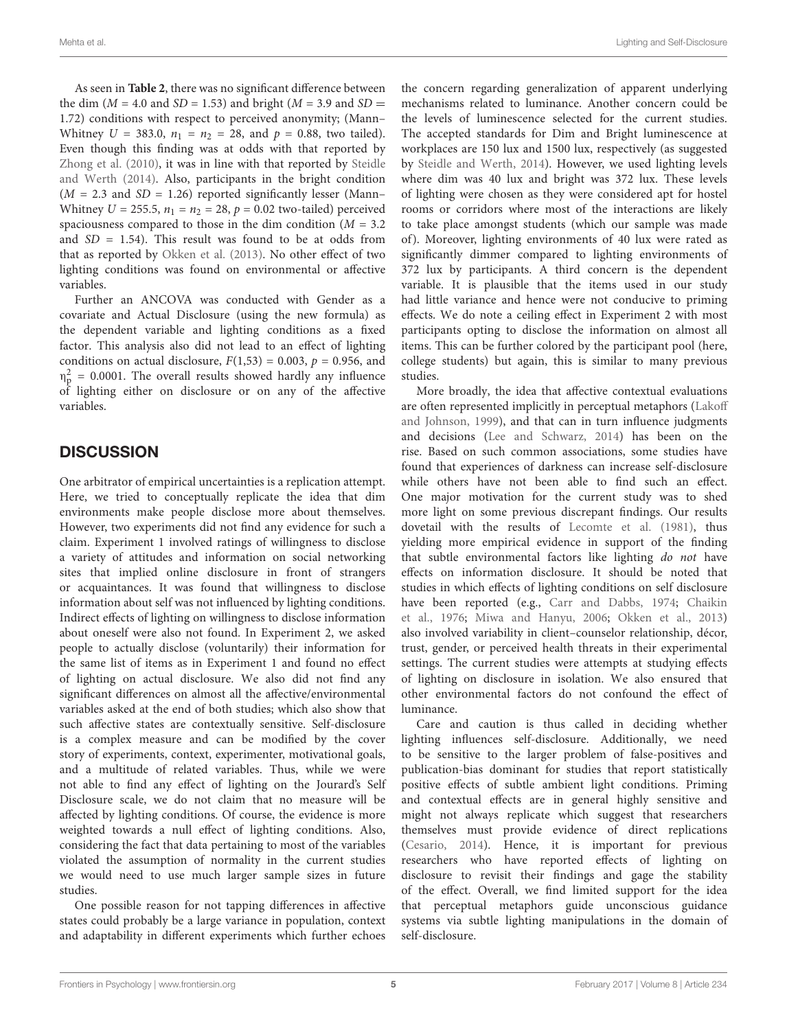As seen in **[Table 2](#page-2-1)**, there was no significant difference between the dim ( $M = 4.0$  and  $SD = 1.53$ ) and bright ( $M = 3.9$  and  $SD =$ 1.72) conditions with respect to perceived anonymity; (Mann– Whitney  $U = 383.0$ ,  $n_1 = n_2 = 28$ , and  $p = 0.88$ , two tailed). Even though this finding was at odds with that reported by [Zhong et al.](#page-5-1) [\(2010\)](#page-5-1), it was in line with that reported by [Steidle](#page-5-15) [and Werth](#page-5-15) [\(2014\)](#page-5-15). Also, participants in the bright condition  $(M = 2.3$  and  $SD = 1.26)$  reported significantly lesser (Mann– Whitney  $U = 255.5$ ,  $n_1 = n_2 = 28$ ,  $p = 0.02$  two-tailed) perceived spaciousness compared to those in the dim condition ( $M = 3.2$ ) and  $SD = 1.54$ ). This result was found to be at odds from that as reported by [Okken et al.](#page-5-7) [\(2013\)](#page-5-7). No other effect of two lighting conditions was found on environmental or affective variables.

Further an ANCOVA was conducted with Gender as a covariate and Actual Disclosure (using the new formula) as the dependent variable and lighting conditions as a fixed factor. This analysis also did not lead to an effect of lighting conditions on actual disclosure,  $F(1,53) = 0.003$ ,  $p = 0.956$ , and  $\eta_p^2$  = 0.0001. The overall results showed hardly any influence of lighting either on disclosure or on any of the affective variables.

## **DISCUSSION**

One arbitrator of empirical uncertainties is a replication attempt. Here, we tried to conceptually replicate the idea that dim environments make people disclose more about themselves. However, two experiments did not find any evidence for such a claim. Experiment 1 involved ratings of willingness to disclose a variety of attitudes and information on social networking sites that implied online disclosure in front of strangers or acquaintances. It was found that willingness to disclose information about self was not influenced by lighting conditions. Indirect effects of lighting on willingness to disclose information about oneself were also not found. In Experiment 2, we asked people to actually disclose (voluntarily) their information for the same list of items as in Experiment 1 and found no effect of lighting on actual disclosure. We also did not find any significant differences on almost all the affective/environmental variables asked at the end of both studies; which also show that such affective states are contextually sensitive. Self-disclosure is a complex measure and can be modified by the cover story of experiments, context, experimenter, motivational goals, and a multitude of related variables. Thus, while we were not able to find any effect of lighting on the Jourard's Self Disclosure scale, we do not claim that no measure will be affected by lighting conditions. Of course, the evidence is more weighted towards a null effect of lighting conditions. Also, considering the fact that data pertaining to most of the variables violated the assumption of normality in the current studies we would need to use much larger sample sizes in future studies.

One possible reason for not tapping differences in affective states could probably be a large variance in population, context and adaptability in different experiments which further echoes

the concern regarding generalization of apparent underlying mechanisms related to luminance. Another concern could be the levels of luminescence selected for the current studies. The accepted standards for Dim and Bright luminescence at workplaces are 150 lux and 1500 lux, respectively (as suggested by [Steidle and Werth,](#page-5-15) [2014\)](#page-5-15). However, we used lighting levels where dim was 40 lux and bright was 372 lux. These levels of lighting were chosen as they were considered apt for hostel rooms or corridors where most of the interactions are likely to take place amongst students (which our sample was made of). Moreover, lighting environments of 40 lux were rated as significantly dimmer compared to lighting environments of 372 lux by participants. A third concern is the dependent variable. It is plausible that the items used in our study had little variance and hence were not conducive to priming effects. We do note a ceiling effect in Experiment 2 with most participants opting to disclose the information on almost all items. This can be further colored by the participant pool (here, college students) but again, this is similar to many previous studies.

More broadly, the idea that affective contextual evaluations are often represented implicitly in perceptual metaphors [\(Lakoff](#page-5-18) [and Johnson,](#page-5-18) [1999\)](#page-5-18), and that can in turn influence judgments and decisions [\(Lee and Schwarz,](#page-5-19) [2014\)](#page-5-19) has been on the rise. Based on such common associations, some studies have found that experiences of darkness can increase self-disclosure while others have not been able to find such an effect. One major motivation for the current study was to shed more light on some previous discrepant findings. Our results dovetail with the results of [Lecomte et al.](#page-5-5) [\(1981\)](#page-5-5), thus yielding more empirical evidence in support of the finding that subtle environmental factors like lighting do not have effects on information disclosure. It should be noted that studies in which effects of lighting conditions on self disclosure have been reported (e.g., [Carr and Dabbs,](#page-5-2) [1974;](#page-5-2) [Chaikin](#page-5-3) [et al.,](#page-5-3) [1976;](#page-5-3) [Miwa and Hanyu,](#page-5-12) [2006;](#page-5-12) [Okken et al.,](#page-5-7) [2013\)](#page-5-7) also involved variability in client–counselor relationship, décor, trust, gender, or perceived health threats in their experimental settings. The current studies were attempts at studying effects of lighting on disclosure in isolation. We also ensured that other environmental factors do not confound the effect of luminance.

Care and caution is thus called in deciding whether lighting influences self-disclosure. Additionally, we need to be sensitive to the larger problem of false-positives and publication-bias dominant for studies that report statistically positive effects of subtle ambient light conditions. Priming and contextual effects are in general highly sensitive and might not always replicate which suggest that researchers themselves must provide evidence of direct replications [\(Cesario,](#page-5-20) [2014\)](#page-5-20). Hence, it is important for previous researchers who have reported effects of lighting on disclosure to revisit their findings and gage the stability of the effect. Overall, we find limited support for the idea that perceptual metaphors guide unconscious guidance systems via subtle lighting manipulations in the domain of self-disclosure.